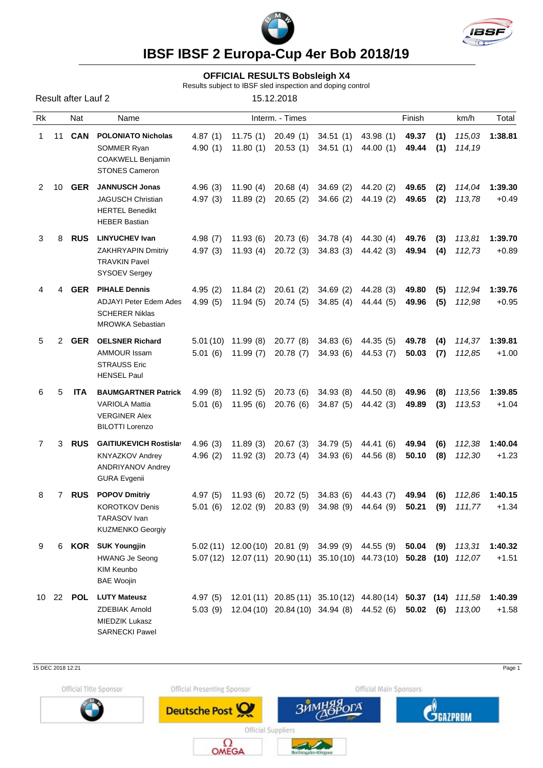



**IBSF IBSF 2 Europa-Cup 4er Bob 2018/19**

## **OFFICIAL RESULTS Bobsleigh X4**

Results subject to IBSF sled inspection and doping control

| <b>Result after Lauf 2</b> |       |            |                                                                                                            | 15.12.2018          |                                             |                                                                |                                                                                                                               |                        |                |            |                  |                                     |
|----------------------------|-------|------------|------------------------------------------------------------------------------------------------------------|---------------------|---------------------------------------------|----------------------------------------------------------------|-------------------------------------------------------------------------------------------------------------------------------|------------------------|----------------|------------|------------------|-------------------------------------|
| Rk                         |       | Nat        | Name<br><b>POLONIATO Nicholas</b><br>SOMMER Ryan<br><b>COAKWELL Benjamin</b><br><b>STONES Cameron</b>      | Interm. - Times     |                                             |                                                                |                                                                                                                               | Finish                 |                |            | km/h             | Total                               |
| 1                          | 11    | CAN        |                                                                                                            | 4.87(1)             |                                             | $11.75(1)$ 20.49 (1)<br>4.90 (1) 11.80 (1) 20.53 (1) 34.51 (1) | 34.51 (1)                                                                                                                     | 43.98 (1)<br>44.00(1)  | 49.37<br>49.44 | (1)<br>(1) | 114,19           | 115,03 1:38.81                      |
| 2                          | 10    | <b>GER</b> | <b>JANNUSCH Jonas</b><br><b>JAGUSCH Christian</b><br><b>HERTEL Benedikt</b><br><b>HEBER Bastian</b>        | 4.96(3)             | 11.90(4)                                    |                                                                | 20.68 (4) 34.69 (2) 44.20 (2)<br>4.97 (3) 11.89 (2) 20.65 (2) 34.66 (2) 44.19 (2)                                             |                        | 49.65<br>49.65 | (2)<br>(2) | 114,04<br>113,78 | 1:39.30<br>$+0.49$                  |
| 3                          | 8     | <b>RUS</b> | <b>LINYUCHEV Ivan</b><br>ZAKHRYAPIN Dmitriy<br><b>TRAVKIN Pavel</b><br><b>SYSOEV Sergey</b>                | 4.98(7)             | 11.93 (6)<br>$4.97(3)$ $11.93(4)$           |                                                                | 20.73 (6) 34.78 (4) 44.30 (4)<br>20.72 (3) 34.83 (3) 44.42 (3)                                                                |                        | 49.76<br>49.94 | (3)<br>(4) | 113,81<br>112,73 | 1:39.70<br>$+0.89$                  |
| 4                          | 4     | <b>GER</b> | <b>PIHALE Dennis</b><br>ADJAYI Peter Edem Ades<br><b>SCHERER Niklas</b><br><b>MROWKA Sebastian</b>         | 4.95(2)<br>4.99 (5) | 11.84 (2)                                   | 20.61 (2)                                                      | 11.94 (5) 20.74 (5) 34.85 (4) 44.44 (5)                                                                                       | 34.69 (2) 44.28 (3)    | 49.80<br>49.96 | (5)<br>(5) | 112,94<br>112,98 | 1:39.76<br>$+0.95$                  |
| 5                          | 2     | <b>GER</b> | <b>OELSNER Richard</b><br><b>AMMOUR Issam</b><br><b>STRAUSS Eric</b><br><b>HENSEL Paul</b>                 |                     | $5.01(10)$ 11.99 (8)<br>$5.01(6)$ 11.99 (7) |                                                                | 20.77 (8) 34.83 (6) 44.35 (5)<br>20.78 (7) 34.93 (6) 44.53 (7)                                                                |                        | 49.78<br>50.03 | (4)<br>(7) | 112,85           | 114,37 <b>1:39.81</b><br>$+1.00$    |
| 6                          | 5     | <b>ITA</b> | <b>BAUMGARTNER Patrick</b><br><b>VARIOLA Mattia</b><br><b>VERGINER Alex</b><br><b>BILOTTI Lorenzo</b>      | 4.99(8)<br>5.01(6)  | 11.92 (5)<br>11.95 (6)                      |                                                                | 20.73 (6) 34.93 (8)<br>20.76 (6) 34.87 (5)                                                                                    | 44.50 (8)<br>44.42 (3) | 49.96<br>49.89 | (8)<br>(3) | 113,56<br>113,53 | 1:39.85<br>$+1.04$                  |
| $7^{\circ}$                | 3     | <b>RUS</b> | <b>GAITIUKEVICH Rostislav</b><br><b>KNYAZKOV Andrey</b><br><b>ANDRIYANOV Andrey</b><br><b>GURA Evgenii</b> | 4.96(3)<br>4.96(2)  | 11.89 (3)<br>11.92 (3)                      | 20.73 (4)                                                      | 20.67 (3) 34.79 (5) 44.41 (6)<br>34.93 (6)                                                                                    | 44.56 (8)              | 49.94<br>50.10 | (6)<br>(8) | 112,38<br>112,30 | 1:40.04<br>$+1.23$                  |
| 8                          | 7     | <b>RUS</b> | <b>POPOV Dmitriy</b><br><b>KOROTKOV Denis</b><br>TARASOV Ivan<br>KUZMENKO Georgiy                          |                     |                                             |                                                                | 4.97 (5) 11.93 (6) 20.72 (5) 34.83 (6) 44.43 (7)<br>5.01 (6) 12.02 (9) 20.83 (9) 34.98 (9) 44.64 (9) 50.21 (9) 111,77         |                        |                |            |                  | 49.94 (6) 112,86 1:40.15<br>$+1.34$ |
| 9                          | 6     | KOR        | <b>SUK Youngjin</b><br><b>HWANG Je Seong</b><br>KIM Keunbo<br><b>BAE Woojin</b>                            |                     |                                             |                                                                | 5.02 (11) 12.00 (10) 20.81 (9) 34.99 (9) 44.55 (9)<br>5.07 (12) 12.07 (11) 20.90 (11) 35.10 (10) 44.73 (10) 50.28 (10) 112,07 |                        | 50.04          |            |                  | $(9)$ $113,31$ 1:40.32<br>$+1.51$   |
|                            | 10 22 | <b>POL</b> | <b>LUTY Mateusz</b><br><b>ZDEBIAK Arnold</b><br><b>MIEDZIK Lukasz</b><br><b>SARNECKI Pawel</b>             | 4.97(5)             |                                             |                                                                | 12.01 (11) 20.85 (11) 35.10 (12) 44.80 (14) 50.37 (14) 111,58 1:40.39<br>5.03 (9) 12.04 (10) 20.84 (10) 34.94 (8) 44.52 (6)   |                        | 50.02          |            | $(6)$ 113,00     | $+1.58$                             |

15 DEC 2018 12:21 Page 1

Official Title Sponsor



Official Presenting Sponsor

Deutsche Post

 $\Omega_{\text{OMEGA}}$ 





Official Suppliers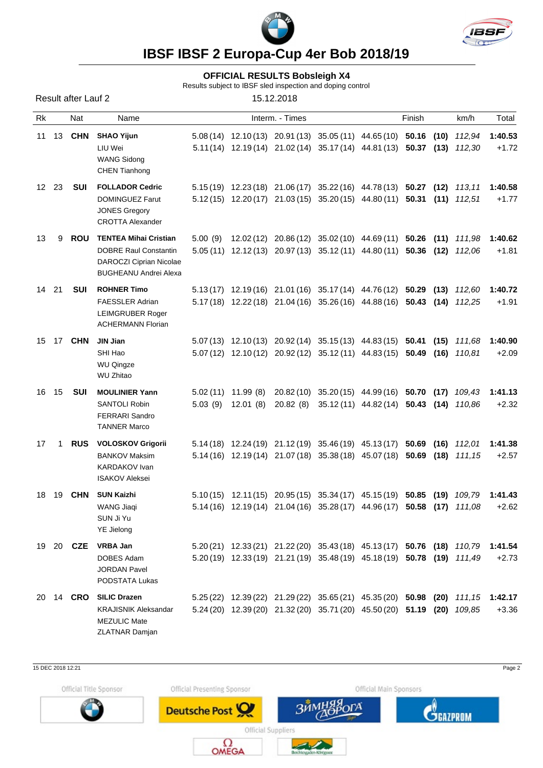



**IBSF IBSF 2 Europa-Cup 4er Bob 2018/19**

## **OFFICIAL RESULTS Bobsleigh X4**

Results subject to IBSF sled inspection and doping control

Result after Lauf 2 15.12.2018 Rk Nat Name Interm. - Times Finish km/h Total 11 13 **CHN SHAO Yijun** 5.08 (14) 12.10 (13) 20.91 (13) 35.05 (11) 44.65 (10) **50.16 (10)** *112,94* **1:40.53** LIU Wei 5.11(14) 12.19 (14) 21.02 (14) 35.17 (14) 44.81 (13) **50.37 (13)** *112,30* +1.72 WANG Sidong CHEN Tianhong 12 23 **SUI FOLLADOR Cedric** 5.15 (19) 12.23 (18) 21.06 (17) 35.22 (16) 44.78 (13) **50.27 (12)** *113,11* **1:40.58** DOMINGUEZ Farut 5.12 (15) 12.20 (17) 21.03 (15) 35.20 (15) 44.80 (11) **50.31 (11)** *112,51* +1.77 JONES Gregory CROTTA Alexander 13 9 **ROU TENTEA Mihai Cristian** 5.00 (9) 12.02 (12) 20.86 (12) 35.02 (10) 44.69 (11) **50.26 (11)** *111,98* **1:40.62** DOBRE Raul Constantin 5.05 (11) 12.12 (13) 20.97 (13) 35.12 (11) 44.80 (11) **50.36 (12)** *112,06* +1.81 DAROCZI Ciprian Nicolae **BUGHEANU Andrei Alexa** 14 21 **SUI ROHNER Timo** 5.13 (17) 12.19 (16) 21.01 (16) 35.17 (14) 44.76 (12) **50.29 (13)** *112,60* **1:40.72** FAESSLER Adrian 5.17 (18) 12.22 (18) 21.04 (16) 35.26 (16) 44.88 (16) **50.43 (14)** *112,25* +1.91 LEIMGRUBER Roger ACHERMANN Florian 15 17 **CHN JIN Jian** 5.07 (13) 12.10 (13) 20.92 (14) 35.15 (13) 44.83 (15) **50.41 (15)** *111,68* **1:40.90** SHI Hao 5.07 (12) 12.10 (12) 20.92 (12) 35.12 (11) 44.83 (15) **50.49 (16)** *110,81* +2.09 WU Qinaze WU Zhitao 16 15 **SUI MOULINIER Yann** 5.02 (11) 11.99 (8) 20.82 (10) 35.20 (15) 44.99 (16) **50.70 (17)** *109,43* **1:41.13** SANTOLI Robin 5.03 (9) 12.01 (8) 20.82 (8) 35.12 (11) 44.82 (14) **50.43 (14)** *110,86* +2.32 FERRARI Sandro TANNER Marco 17 1 **RUS VOLOSKOV Grigorii** 5.14 (18) 12.24 (19) 21.12 (19) 35.46 (19) 45.13 (17) **50.69 (16)** *112,01* **1:41.38** BANKOV Maksim 5.14 (16) 12.19 (14) 21.07 (18) 35.38 (18) 45.07 (18) **50.69 (18)** *111,15* +2.57 KARDAKOV Ivan ISAKOV Aleksei 18 19 **CHN SUN Kaizhi** 5.10 (15) 12.11(15) 20.95 (15) 35.34 (17) 45.15 (19) **50.85 (19)** *109,79* **1:41.43** WANG Jiaqi 5.14 (16) 12.19 (14) 21.04 (16) 35.28 (17) 44.96 (17) **50.58 (17)** *111,08* +2.62 SUN Ji Yu YE Jielong 19 20 **CZE VRBA Jan** 5.20 (21) 12.33 (21) 21.22 (20) 35.43 (18) 45.13 (17) **50.76 (18)** *110,79* **1:41.54** DOBES Adam 5.20 (19) 12.33 (19) 21.21 (19) 35.48 (19) 45.18 (19) **50.78 (19)** *111,49* +2.73 JORDAN Pavel PODSTATA Lukas 20 14 **CRO SILIC Drazen** 5.25 (22) 12.39 (22) 21.29 (22) 35.65 (21) 45.35 (20) **50.98 (20)** *111,15* **1:42.17** KRAJISNIK Aleksandar 5.24 (20) 12.39 (20) 21.32 (20) 35.71 (20) 45.50 (20) **51.19 (20)** *109,85* +3.36 MEZULIC Mate ZLATNAR Damjan

15 DEC 2018 12:21 Page 2

Official Title Sponsor



Official Presenting Sponsor

**Deutsche Post** 





**Official Suppliers**